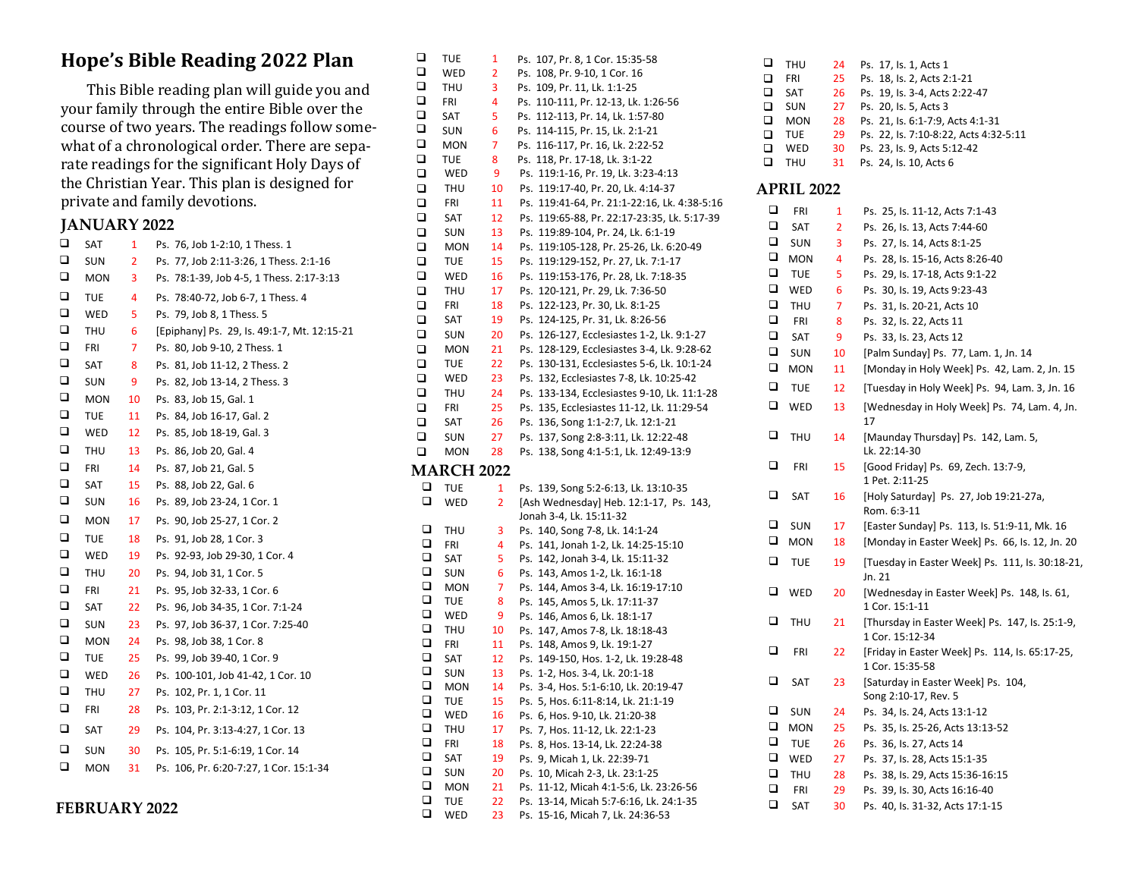## **Hope's Bible Reading 2022 Plan**

This Bible reading plan will guide you and your family through the entire Bible over the course of two years. The readings follow somewhat of a chronological order. There are separate readings for the significant Holy Days of the Christian Year. This plan is designed for private and family devotions.

#### **JANUARY 2022**

| □      | SAT        | 1  | Ps. 76, Job 1-2:10, 1 Thess. 1              |
|--------|------------|----|---------------------------------------------|
| $\Box$ | <b>SUN</b> | 2  | Ps. 77, Job 2:11-3:26, 1 Thess. 2:1-16      |
| □      | <b>MON</b> | 3  | Ps. 78:1-39, Job 4-5, 1 Thess. 2:17-3:13    |
| $\Box$ | <b>TUE</b> | 4  | Ps. 78:40-72, Job 6-7, 1 Thess. 4           |
| □      | WED        | 5  | Ps. 79, Job 8, 1 Thess. 5                   |
| □      | THU        | 6  | [Epiphany] Ps. 29, ls. 49:1-7, Mt. 12:15-21 |
| □      | <b>FRI</b> | 7  | Ps. 80, Job 9-10, 2 Thess. 1                |
| □      | SAT        | 8  | Ps. 81, Job 11-12, 2 Thess. 2               |
| □      | SUN        | 9  | Ps. 82, Job 13-14, 2 Thess. 3               |
| □      | <b>MON</b> | 10 | Ps. 83, Job 15, Gal. 1                      |
| □      | TUE        | 11 | Ps. 84, Job 16-17, Gal. 2                   |
| □      | WED        | 12 | Ps. 85, Job 18-19, Gal. 3                   |
| □      | THU        | 13 | Ps. 86, Job 20, Gal. 4                      |
| $\Box$ | <b>FRI</b> | 14 | Ps. 87, Job 21, Gal. 5                      |
| □      | SAT        | 15 | Ps. 88, Job 22, Gal. 6                      |
| □      | SUN        | 16 | Ps. 89, Job 23-24, 1 Cor. 1                 |
| □      | <b>MON</b> | 17 | Ps. 90, Job 25-27, 1 Cor. 2                 |
| $\Box$ | <b>TUE</b> | 18 | Ps. 91, Job 28, 1 Cor. 3                    |
| $\Box$ | WED        | 19 | Ps. 92-93, Job 29-30, 1 Cor. 4              |
| □      | <b>THU</b> | 20 | Ps. 94, Job 31, 1 Cor. 5                    |
| □      | <b>FRI</b> | 21 | Ps. 95, Job 32-33, 1 Cor. 6                 |
| □      | SAT        | 22 | Ps. 96, Job 34-35, 1 Cor. 7:1-24            |
| □      | <b>SUN</b> | 23 | Ps. 97, Job 36-37, 1 Cor. 7:25-40           |
| □      | MON        | 24 | Ps. 98, Job 38, 1 Cor. 8                    |
| □      | <b>TUE</b> | 25 | Ps. 99, Job 39-40, 1 Cor. 9                 |
| □      | WED        | 26 | Ps. 100-101, Job 41-42, 1 Cor. 10           |
| □      | <b>THU</b> | 27 | Ps. 102, Pr. 1, 1 Cor. 11                   |
| □      | <b>FRI</b> | 28 | Ps. 103, Pr. 2:1-3:12, 1 Cor. 12            |
| □      | SAT        | 29 | Ps. 104, Pr. 3:13-4:27, 1 Cor. 13           |
| $\Box$ | <b>SUN</b> | 30 | Ps. 105, Pr. 5:1-6:19, 1 Cor. 14            |
| □      | MON        | 31 | Ps. 106, Pr. 6:20-7:27, 1 Cor. 15:1-34      |
|        |            |    |                                             |

**FEBRUARY 2022**

| ❏           | TUE               | 1        | Ps. 107, Pr. 8, 1 Cor. 15:35-58                                            |
|-------------|-------------------|----------|----------------------------------------------------------------------------|
| ❏           | WED               | 2        | Ps. 108, Pr. 9-10, 1 Cor. 16                                               |
| $\Box$      | THU               | 3        | Ps. 109, Pr. 11, Lk. 1:1-25                                                |
| □           | FRI               | 4        | Ps. 110-111, Pr. 12-13, Lk. 1:26-56                                        |
| ❏           | SAT               | 5        | Ps. 112-113, Pr. 14, Lk. 1:57-80                                           |
| $\Box$      | SUN               | 6        | Ps. 114-115, Pr. 15, Lk. 2:1-21                                            |
| □           | <b>MON</b>        | 7        | Ps. 116-117, Pr. 16, Lk. 2:22-52                                           |
| □           | TUE               | 8        | Ps. 118, Pr. 17-18, Lk. 3:1-22                                             |
| □           | WED               | 9        | Ps. 119:1-16, Pr. 19, Lk. 3:23-4:13                                        |
| $\Box$      | THU               | 10       | Ps. 119:17-40, Pr. 20, Lk. 4:14-37                                         |
| $\Box$      | FRI               | 11       | Ps. 119:41-64, Pr. 21:1-22:16, Lk. 4:38-5:16                               |
| □           | SAT               | 12       | Ps. 119:65-88, Pr. 22:17-23:35, Lk. 5:17-39                                |
| $\Box$      |                   |          | Ps. 119:89-104, Pr. 24, Lk. 6:1-19                                         |
|             | <b>SUN</b>        | 13       |                                                                            |
| $\Box$      | <b>MON</b>        | 14       | Ps. 119:105-128, Pr. 25-26, Lk. 6:20-49                                    |
| □           | TUE               | 15       | Ps. 119:129-152, Pr. 27, Lk. 7:1-17                                        |
| □           | WED               | 16       | Ps. 119:153-176, Pr. 28, Lk. 7:18-35                                       |
| $\Box$      | THU               | 17       | Ps. 120-121, Pr. 29, Lk. 7:36-50                                           |
| □           | FRI               | 18       | Ps. 122-123, Pr. 30, Lk. 8:1-25                                            |
| □           | SAT               | 19       | Ps. 124-125, Pr. 31, Lk. 8:26-56                                           |
| $\Box$      | <b>SUN</b>        | 20       | Ps. 126-127, Ecclesiastes 1-2, Lk. 9:1-27                                  |
| □           | <b>MON</b>        | 21       | Ps. 128-129, Ecclesiastes 3-4, Lk. 9:28-62                                 |
| □           | TUE               | 22       | Ps. 130-131, Ecclesiastes 5-6, Lk. 10:1-24                                 |
| $\Box$      | WED               | 23       | Ps. 132, Ecclesiastes 7-8, Lk. 10:25-42                                    |
| □           | <b>THU</b>        | 24       | Ps. 133-134, Ecclesiastes 9-10, Lk. 11:1-28                                |
| □           | FRI               | 25       | Ps. 135, Ecclesiastes 11-12, Lk. 11:29-54                                  |
| $\Box$      | SAT               | 26       | Ps. 136, Song 1:1-2:7, Lk. 12:1-21                                         |
| $\Box$      | SUN               | 27       | Ps. 137, Song 2:8-3:11, Lk. 12:22-48                                       |
| ❏           | MON               |          | Ps. 138, Song 4:1-5:1, Lk. 12:49-13:9                                      |
|             |                   | 28       |                                                                            |
|             |                   |          |                                                                            |
|             | <b>MARCH 2022</b> |          |                                                                            |
| ❏           | <b>TUE</b>        | 1        | Ps. 139, Song 5:2-6:13, Lk. 13:10-35                                       |
| ❏           | WED               | 2        | [Ash Wednesday] Heb. 12:1-17, Ps. 143,                                     |
|             |                   |          | Jonah 3-4, Lk. 15:11-32                                                    |
| ❏           | THU               | 3        |                                                                            |
| $\Box$      | FRI               | 4        | Ps. 140, Song 7-8, Lk. 14:1-24                                             |
| $\Box$      |                   |          | Ps. 141, Jonah 1-2, Lk. 14:25-15:10                                        |
| ❏           | SAT               | 5        | Ps. 142, Jonah 3-4, Lk. 15:11-32                                           |
| $\Box$      | <b>SUN</b>        | 6        | Ps. 143, Amos 1-2, Lk. 16:1-18                                             |
| $\Box$      | <b>MON</b>        | 7        | Ps. 144, Amos 3-4, Lk. 16:19-17:10                                         |
| ❏           | TUE               | 8        | Ps. 145, Amos 5, Lk. 17:11-37                                              |
|             | WED               | 9        | Ps. 146, Amos 6, Lk. 18:1-17                                               |
| $\Box$      | THU               | 10       | Ps. 147, Amos 7-8, Lk. 18:18-43                                            |
| $\Box$      | <b>FRI</b>        | 11       | Ps. 148, Amos 9, Lk. 19:1-27                                               |
| ❏           | SAT               | 12       | Ps. 149-150, Hos. 1-2, Lk. 19:28-48                                        |
| $\Box$      | <b>SUN</b>        | 13       | Ps. 1-2, Hos. 3-4, Lk. 20:1-18                                             |
| $\Box$      | <b>MON</b>        | 14       | Ps. 3-4, Hos. 5:1-6:10, Lk. 20:19-47                                       |
| ❏           | TUE               | 15       | Ps. 5, Hos. 6:11-8:14, Lk. 21:1-19                                         |
| $\Box$      | WED               | 16       | Ps. 6, Hos. 9-10, Lk. 21:20-38                                             |
| ❏           | THU               | 17       | Ps. 7, Hos. 11-12, Lk. 22:1-23                                             |
| ❏           | FRI               | 18       | Ps. 8, Hos. 13-14, Lk. 22:24-38                                            |
| $\Box$      | SAT               | 19       | Ps. 9, Micah 1, Lk. 22:39-71                                               |
| □           | <b>SUN</b>        | 20       | Ps. 10, Micah 2-3, Lk. 23:1-25                                             |
| ❏           | <b>MON</b>        | 21       | Ps. 11-12, Micah 4:1-5:6, Lk. 23:26-56                                     |
| ❏<br>$\Box$ | <b>TUE</b><br>WED | 22<br>23 | Ps. 13-14, Micah 5:7-6:16, Lk. 24:1-35<br>Ps. 15-16. Micah 7. Lk. 24:36-53 |

| ❏<br>□<br>$\Box$<br>◻<br>□<br>❏ | THU<br>FRI<br>SAT<br><b>SUN</b><br><b>MON</b><br>TUE | 24<br>25<br>26<br>27<br>28<br>29 | Ps. 17, Is. 1, Acts 1<br>Ps. 18, Is. 2, Acts 2:1-21<br>Ps. 19, Is. 3-4, Acts 2:22-47<br>Ps. 20, Is. 5, Acts 3<br>Ps. 21, Is. 6:1-7:9, Acts 4:1-31<br>Ps. 22, Is. 7:10-8:22, Acts 4:32-5:11 |
|---------------------------------|------------------------------------------------------|----------------------------------|--------------------------------------------------------------------------------------------------------------------------------------------------------------------------------------------|
| ◻                               | WED                                                  | 30                               | Ps. 23, Is. 9, Acts 5:12-42                                                                                                                                                                |
| ❏                               | THU                                                  | 31                               | Ps. 24, Is. 10, Acts 6                                                                                                                                                                     |
|                                 | <b>APRIL 2022</b>                                    |                                  |                                                                                                                                                                                            |
| ❏                               | FRI                                                  | 1                                | Ps. 25, Is. 11-12, Acts 7:1-43                                                                                                                                                             |
| ❏                               | SAT                                                  | 2                                | Ps. 26, Is. 13, Acts 7:44-60                                                                                                                                                               |
| ❏                               | <b>SUN</b>                                           | 3                                | Ps. 27, Is. 14, Acts 8:1-25                                                                                                                                                                |
| ❏                               | <b>MON</b>                                           | 4                                | Ps. 28, Is. 15-16, Acts 8:26-40                                                                                                                                                            |
| ❏                               | TUE                                                  | 5                                | Ps. 29, Is. 17-18, Acts 9:1-22                                                                                                                                                             |
| ❏                               | WED                                                  | 6                                | Ps. 30, Is. 19, Acts 9:23-43                                                                                                                                                               |
| ❏                               | THU                                                  | 7                                | Ps. 31, Is. 20-21, Acts 10                                                                                                                                                                 |
| ❏                               | FRI                                                  | 8                                | Ps. 32, Is. 22, Acts 11                                                                                                                                                                    |
| ❏                               | <b>SAT</b>                                           | 9                                | Ps. 33, Is. 23, Acts 12                                                                                                                                                                    |
| ❏                               | <b>SUN</b>                                           | 10                               | [Palm Sunday] Ps. 77, Lam. 1, Jn. 14                                                                                                                                                       |
| ❏                               | MON                                                  | 11                               | [Monday in Holy Week] Ps. 42, Lam. 2, Jn. 15                                                                                                                                               |
| ❏                               | TUE                                                  | 12                               | [Tuesday in Holy Week] Ps. 94, Lam. 3, Jn. 16                                                                                                                                              |
| ❏                               | WED                                                  | 13                               | [Wednesday in Holy Week] Ps. 74, Lam. 4, Jn.<br>17                                                                                                                                         |
| ❏                               | THU                                                  | 14                               | [Maunday Thursday] Ps. 142, Lam. 5,<br>Lk. 22:14-30                                                                                                                                        |
| ❏                               | FRI                                                  | 15                               | [Good Friday] Ps. 69, Zech. 13:7-9,<br>1 Pet. 2:11-25                                                                                                                                      |
| ❏                               | SAT                                                  | 16                               | [Holy Saturday] Ps. 27, Job 19:21-27a,<br>Rom. 6:3-11                                                                                                                                      |
| ❏                               | <b>SUN</b>                                           | 17                               | [Easter Sunday] Ps. 113, Is. 51:9-11, Mk. 16                                                                                                                                               |
| ❏                               | MON                                                  | 18                               | [Monday in Easter Week] Ps. 66, Is. 12, Jn. 20                                                                                                                                             |
| ❏                               | TUE                                                  | 19                               | [Tuesday in Easter Week] Ps. 111, Is. 30:18-21,<br>Jn. 21                                                                                                                                  |
| ❏                               | WED                                                  | 20                               | [Wednesday in Easter Week] Ps. 148, Is. 61,<br>1 Cor. 15:1-11                                                                                                                              |
| ❏                               | THU                                                  | 21                               | [Thursday in Easter Week] Ps. 147, Is. 25:1-9,<br>1 Cor. 15:12-34                                                                                                                          |
| ❏                               | FRI                                                  | 22                               | [Friday in Easter Week] Ps. 114, Is. 65:17-25,<br>1 Cor. 15:35-58                                                                                                                          |
| ❏                               | SAT                                                  | 23                               | [Saturday in Easter Week] Ps. 104,<br>Song 2:10-17, Rev. 5                                                                                                                                 |
| ❏                               | SUN                                                  | 24                               | Ps. 34, ls. 24, Acts 13:1-12                                                                                                                                                               |
| ❏                               | <b>MON</b>                                           | 25                               | Ps. 35, Is. 25-26, Acts 13:13-52                                                                                                                                                           |
| ❏                               | TUE                                                  | 26                               | Ps. 36, Is. 27, Acts 14                                                                                                                                                                    |
| ❏                               | WED                                                  | 27                               | Ps. 37, Is. 28, Acts 15:1-35                                                                                                                                                               |
| ❏                               | THU                                                  | 28                               | Ps. 38, Is. 29, Acts 15:36-16:15                                                                                                                                                           |
| ❏                               | FRI                                                  | 29                               | Ps. 39, Is. 30, Acts 16:16-40                                                                                                                                                              |
| □                               | SAT                                                  | 30                               | Ps. 40, ls. 31-32, Acts 17:1-15                                                                                                                                                            |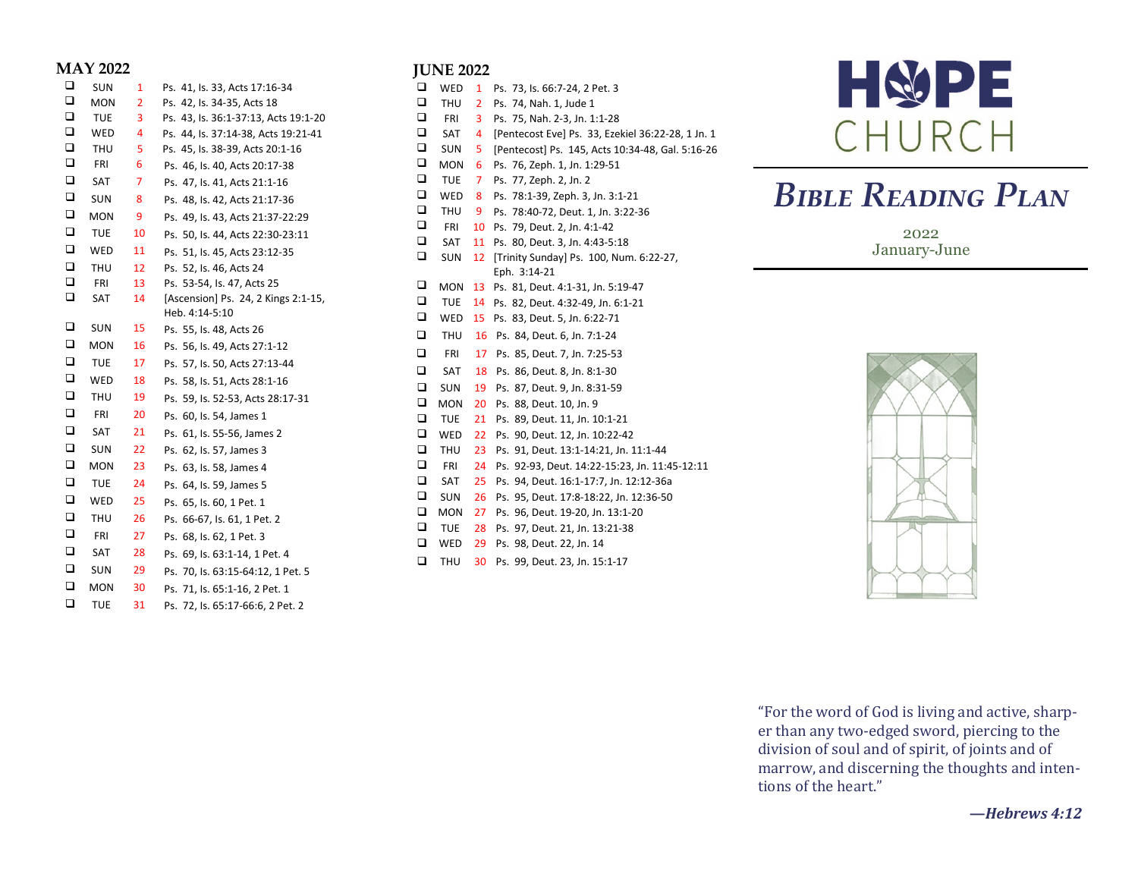#### **MAY 2022**

| □      | <b>SUN</b> | 1              | Ps. 41, Is. 33, Acts 17:16-34        |
|--------|------------|----------------|--------------------------------------|
| $\Box$ | <b>MON</b> | $\overline{2}$ | Ps. 42, Is. 34-35, Acts 18           |
| $\Box$ | <b>TUE</b> | 3              | Ps. 43, ls. 36:1-37:13, Acts 19:1-20 |
| $\Box$ | WED        | 4              | Ps. 44, ls. 37:14-38, Acts 19:21-41  |
| $\Box$ | THU        | 5              | Ps. 45, ls. 38-39, Acts 20:1-16      |
| $\Box$ | FRI        | 6              | Ps. 46, Is. 40, Acts 20:17-38        |
| $\Box$ | SAT        | 7              | Ps. 47, Is. 41, Acts 21:1-16         |
| $\Box$ | <b>SUN</b> | 8              | Ps. 48, Is. 42, Acts 21:17-36        |
| $\Box$ | MON        | 9              | Ps. 49, Is. 43, Acts 21:37-22:29     |
| □      | <b>TUE</b> | 10             | Ps. 50, Is. 44, Acts 22:30-23:11     |
| $\Box$ | WED        | 11             | Ps. 51, Is. 45, Acts 23:12-35        |
| $\Box$ | <b>THU</b> | 12             | Ps. 52, Is. 46, Acts 24              |
| $\Box$ | FRI        | 13             | Ps. 53-54, Is. 47, Acts 25           |
| $\Box$ | SAT        | 14             | [Ascension] Ps. 24, 2 Kings 2:1-15,  |
|        |            |                | Heb. 4:14-5:10                       |
| □      | <b>SUN</b> | 15             | Ps. 55, Is. 48, Acts 26              |
| $\Box$ | <b>MON</b> | 16             | Ps. 56, Is. 49, Acts 27:1-12         |
| $\Box$ | <b>TUE</b> | 17             | Ps. 57, Is. 50, Acts 27:13-44        |
| □      | WED        | 18             | Ps. 58, Is. 51, Acts 28:1-16         |
| $\Box$ | <b>THU</b> | 19             | Ps. 59, Is. 52-53, Acts 28:17-31     |
| $\Box$ | <b>FRI</b> | 20             | Ps. 60, Is. 54, James 1              |
| $\Box$ | SAT        | 21             | Ps. 61, Is. 55-56, James 2           |
| $\Box$ | <b>SUN</b> | 22             | Ps. 62, Is. 57, James 3              |
| □      | <b>MON</b> | 23             | Ps. 63, Is. 58, James 4              |
| $\Box$ | <b>TUE</b> | 24             | Ps. 64, Is. 59, James 5              |
| $\Box$ | WED        | 25             | Ps. 65, ls. 60, 1 Pet. 1             |
| $\Box$ | THU        | 26             | Ps. 66-67, ls. 61, 1 Pet. 2          |
| $\Box$ | <b>FRI</b> | 27             | Ps. 68, Is. 62, 1 Pet. 3             |
| $\Box$ | SAT        | 28             | Ps. 69, Is. 63:1-14, 1 Pet. 4        |
| $\Box$ | SUN        | 29             | Ps. 70, ls. 63:15-64:12, 1 Pet. 5    |
| $\Box$ | <b>MON</b> | 30             | Ps. 71, ls. 65:1-16, 2 Pet. 1        |
| □      | <b>TUE</b> | 31             | Ps. 72, ls. 65:17-66:6, 2 Pet. 2     |

#### **JUNE 2022**

| □      | WED        | 1              | Ps. 73, Is. 66:7-24, 2 Pet. 3                     |
|--------|------------|----------------|---------------------------------------------------|
| ◻      | <b>THU</b> | $\overline{2}$ | Ps. 74, Nah. 1, Jude 1                            |
| $\Box$ | <b>FRI</b> | 3              | Ps. 75, Nah. 2-3, Jn. 1:1-28                      |
| □      | SAT        | 4              | [Pentecost Eve] Ps. 33, Ezekiel 36:22-28, 1 Jn. 1 |
| $\Box$ | SUN        | 5              | [Pentecost] Ps. 145, Acts 10:34-48, Gal. 5:16-26  |
| □      | <b>MON</b> | 6              | Ps. 76, Zeph. 1, Jn. 1:29-51                      |
| $\Box$ | TUE        | 7              | Ps. 77, Zeph. 2, Jn. 2                            |
| □      | <b>WED</b> | 8              | Ps. 78:1-39, Zeph. 3, Jn. 3:1-21                  |
| □      | THU        | 9              | Ps. 78:40-72, Deut. 1, Jn. 3:22-36                |
| □      | <b>FRI</b> | 10             | Ps. 79, Deut. 2, Jn. 4:1-42                       |
| o      | SAT        | 11             | Ps. 80, Deut. 3, Jn. 4:43-5:18                    |
| □      | SUN        | 12             | [Trinity Sunday] Ps. 100, Num. 6:22-27,           |
|        |            |                | Eph. 3:14-21                                      |
| □      | <b>MON</b> | 13             | Ps. 81, Deut. 4:1-31, Jn. 5:19-47                 |
| □      | <b>TUE</b> | 14             | Ps. 82, Deut. 4:32-49, Jn. 6:1-21                 |
| □      | WED        | 15             | Ps. 83, Deut. 5, Jn. 6:22-71                      |
| $\Box$ | THU        | 16             | Ps. 84, Deut. 6, Jn. 7:1-24                       |
| □      | FRI        | 17             | Ps. 85, Deut. 7, Jn. 7:25-53                      |
|        |            |                |                                                   |
| □      | <b>SAT</b> | 18             | Ps. 86, Deut. 8, Jn. 8:1-30                       |
| $\Box$ | <b>SUN</b> | 19             | Ps. 87, Deut. 9, Jn. 8:31-59                      |
| $\Box$ | <b>MON</b> | 20             | Ps. 88, Deut. 10, Jn. 9                           |
| □      | TUE        | 21             | Ps. 89, Deut. 11, Jn. 10:1-21                     |
| ❏      | <b>WED</b> | 22             | Ps. 90, Deut. 12, Jn. 10:22-42                    |
| $\Box$ | <b>THU</b> | 23             | Ps. 91, Deut. 13:1-14:21, Jn. 11:1-44             |
| $\Box$ | <b>FRI</b> | 24             | Ps. 92-93, Deut. 14:22-15:23, Jn. 11:45-12:11     |
| ❏      | SAT        | 25             | Ps. 94, Deut. 16:1-17:7, Jn. 12:12-36a            |
| $\Box$ | SUN        | 26             | Ps. 95, Deut. 17:8-18:22, Jn. 12:36-50            |
| ❏      | <b>MON</b> | 27             | Ps. 96, Deut. 19-20, Jn. 13:1-20                  |
| □      | <b>TUE</b> | 28             | Ps. 97, Deut. 21, Jn. 13:21-38                    |
| □      | WED        | 29             | Ps. 98, Deut. 22, Jn. 14                          |



# *Bible Reading Plan*

2022 January-June



"For the word of God is living and active, sharper than any two-edged sword, piercing to the division of soul and of spirit, of joints and of marrow, and discerning the thoughts and intentions of the heart."

#### **—***Hebrews 4:12*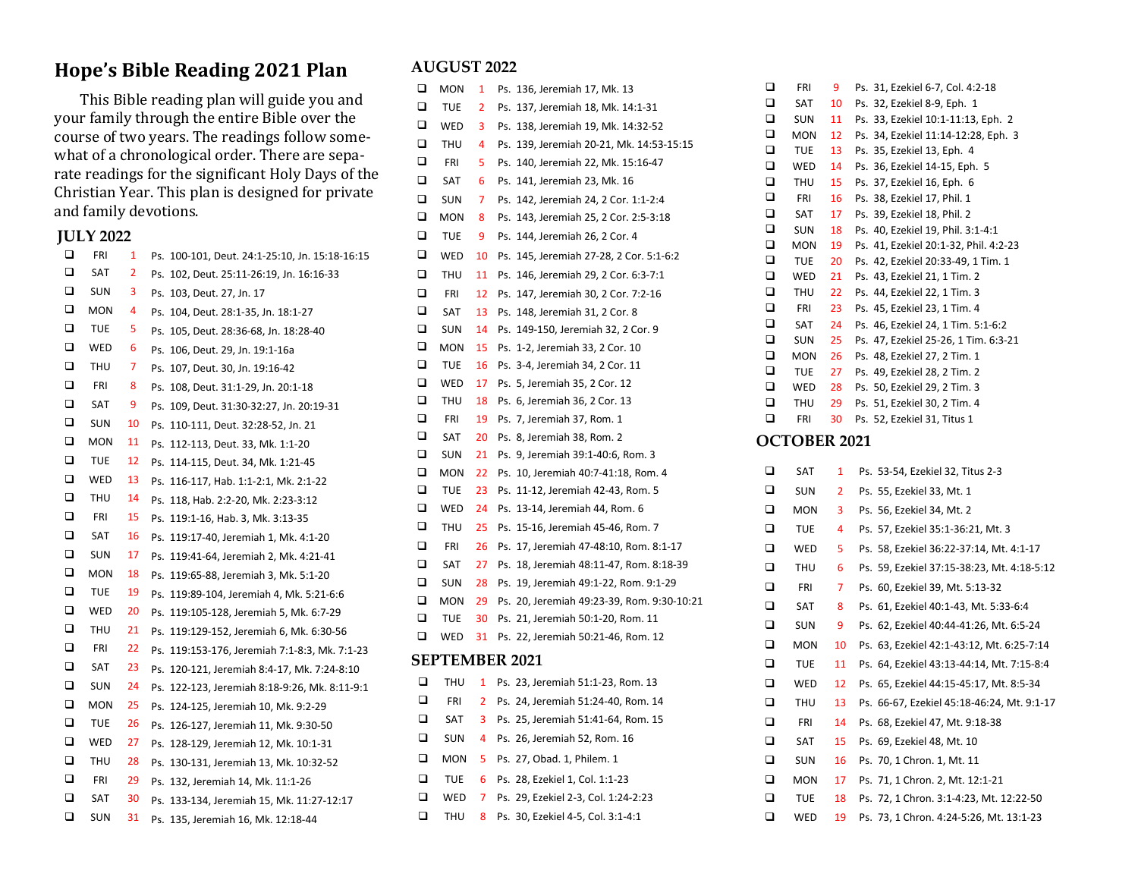### **Hope's Bible Reading 2021 Plan**

This Bible reading plan will guide you and your family through the entire Bible over the course of two years. The readings follow somewhat of a chronological order. There are separate readings for the significant Holy Days of the Christian Year. This plan is designed for private and family devotions.

#### **JULY 2022**

| □      | FRI        | 1  | Ps. | 100-101, Deut. 24:1-25:10, Jn. 15:18-16:15    |
|--------|------------|----|-----|-----------------------------------------------|
| $\Box$ | SAT        | 2  |     | Ps. 102, Deut. 25:11-26:19, Jn. 16:16-33      |
| ◻      | SUN        | з  |     | Ps. 103, Deut. 27, Jn. 17                     |
| ❏      | MON        | 4  |     | Ps. 104, Deut. 28:1-35, Jn. 18:1-27           |
| ◻      | TUE        | 5  |     | Ps. 105, Deut. 28:36-68, Jn. 18:28-40         |
| ◻      | WED        | 6  |     | Ps. 106, Deut. 29, Jn. 19:1-16a               |
| $\Box$ | THU        | 7  |     | Ps. 107, Deut. 30, Jn. 19:16-42               |
| ◻      | FRI        | 8  |     | Ps. 108, Deut. 31:1-29, Jn. 20:1-18           |
| ◻      | SAT        | 9  |     | Ps. 109, Deut. 31:30-32:27, Jn. 20:19-31      |
| □      | SUN        | 10 |     | Ps. 110-111, Deut. 32:28-52, Jn. 21           |
| ❏      | MON        | 11 |     | Ps. 112-113, Deut. 33, Mk. 1:1-20             |
| □      | TUE        | 12 |     | Ps. 114-115, Deut. 34, Mk. 1:21-45            |
| ❏      | WED        | 13 |     | Ps. 116-117, Hab. 1:1-2:1, Mk. 2:1-22         |
| ❏      | THU        | 14 |     | Ps. 118, Hab. 2:2-20, Mk. 2:23-3:12           |
| □      | FRI        | 15 |     | Ps. 119:1-16, Hab. 3, Mk. 3:13-35             |
| ❏      | SAT        | 16 |     | Ps. 119:17-40, Jeremiah 1, Mk. 4:1-20         |
| ❏      | SUN        | 17 |     | Ps. 119:41-64, Jeremiah 2, Mk. 4:21-41        |
| $\Box$ | MON        | 18 |     | Ps. 119:65-88, Jeremiah 3, Mk. 5:1-20         |
| ◻      | TUE        | 19 |     | Ps. 119:89-104, Jeremiah 4, Mk. 5:21-6:6      |
| □      | WED        | 20 |     | Ps. 119:105-128, Jeremiah 5, Mk. 6:7-29       |
| $\Box$ | THU        | 21 |     | Ps. 119:129-152, Jeremiah 6, Mk. 6:30-56      |
| ❏      | FRI        | 22 |     | Ps. 119:153-176, Jeremiah 7:1-8:3, Mk. 7:1-23 |
| □      | SAT        | 23 |     | Ps. 120-121, Jeremiah 8:4-17, Mk. 7:24-8:10   |
| ❏      | SUN        | 24 |     | Ps. 122-123, Jeremiah 8:18-9:26, Mk. 8:11-9:1 |
| ❏      | MON        | 25 |     | Ps. 124-125, Jeremiah 10, Mk. 9:2-29          |
| □      | TUE        | 26 |     | Ps. 126-127, Jeremiah 11, Mk. 9:30-50         |
| ❏      | WED        | 27 |     | Ps. 128-129, Jeremiah 12, Mk. 10:1-31         |
| $\Box$ | THU        | 28 |     | Ps. 130-131, Jeremiah 13, Mk. 10:32-52        |
| ◻      | <b>FRI</b> | 29 |     | Ps. 132, Jeremiah 14, Mk. 11:1-26             |
| ◻      | SAT        | 30 |     | Ps. 133-134, Jeremiah 15, Mk. 11:27-12:17     |
| □      | <b>SUN</b> | 31 |     | Ps. 135, Jeremiah 16, Mk. 12:18-44            |
|        |            |    |     |                                               |

#### **AUGUST 2022**

| ❏ | MON                   | 1  | Ps. 136, Jeremiah 17, Mk. 13               |
|---|-----------------------|----|--------------------------------------------|
| ❏ | TUE                   | 2  | Ps. 137, Jeremiah 18, Mk. 14:1-31          |
| □ | WED                   | 3  | Ps. 138, Jeremiah 19, Mk. 14:32-52         |
| □ | THU                   | 4  | Ps. 139, Jeremiah 20-21, Mk. 14:53-15:15   |
| ❏ | FRI                   | 5  | Ps. 140, Jeremiah 22, Mk. 15:16-47         |
| □ | SAT                   | 6  | Ps. 141, Jeremiah 23, Mk. 16               |
| □ | SUN                   | 7  | Ps. 142, Jeremiah 24, 2 Cor. 1:1-2:4       |
| □ | MON                   | 8  | Ps. 143, Jeremiah 25, 2 Cor. 2:5-3:18      |
| ❏ | TUE                   | 9  | Ps. 144, Jeremiah 26, 2 Cor. 4             |
| □ | WED                   | 10 | Ps. 145, Jeremiah 27-28, 2 Cor. 5:1-6:2    |
| ❏ | THU                   | 11 | Ps. 146, Jeremiah 29, 2 Cor. 6:3-7:1       |
| ◻ | FRI                   | 12 | Ps. 147, Jeremiah 30, 2 Cor. 7:2-16        |
| □ | SAT                   | 13 | Ps. 148, Jeremiah 31, 2 Cor. 8             |
| ❏ | SUN                   | 14 | Ps. 149-150, Jeremiah 32, 2 Cor. 9         |
| □ | MON                   | 15 | Ps. 1-2, Jeremiah 33, 2 Cor. 10            |
| □ | TUE                   | 16 | Ps. 3-4, Jeremiah 34, 2 Cor. 11            |
| ❏ | WED                   | 17 | Ps. 5, Jeremiah 35, 2 Cor. 12              |
| ❏ | THU                   | 18 | Ps. 6, Jeremiah 36, 2 Cor. 13              |
| ❏ | FRI                   | 19 | Ps. 7, Jeremiah 37, Rom. 1                 |
| ❏ | SAT                   | 20 | Ps. 8, Jeremiah 38, Rom. 2                 |
| □ | SUN                   | 21 | Ps. 9, Jeremiah 39:1-40:6, Rom. 3          |
| ❏ | MON                   | 22 | Ps. 10, Jeremiah 40:7-41:18, Rom. 4        |
| □ | TUE                   | 23 | Ps. 11-12, Jeremiah 42-43, Rom. 5          |
| □ | WED                   | 24 | Ps. 13-14, Jeremiah 44, Rom. 6             |
| ❏ | THU                   | 25 | Ps. 15-16, Jeremiah 45-46, Rom. 7          |
| □ | FRI                   | 26 | Ps. 17, Jeremiah 47-48:10, Rom. 8:1-17     |
| ❏ | SAT                   | 27 | Ps. 18, Jeremiah 48:11-47, Rom. 8:18-39    |
| □ | SUN                   | 28 | Ps. 19, Jeremiah 49:1-22, Rom. 9:1-29      |
| □ | MON                   | 29 | Ps. 20, Jeremiah 49:23-39, Rom. 9:30-10:21 |
| ❏ | TUE                   | 30 | Ps. 21, Jeremiah 50:1-20, Rom. 11          |
| □ | WED                   | 31 | Ps. 22, Jeremiah 50:21-46, Rom. 12         |
|   | <b>SEPTEMBER 2021</b> |    |                                            |
| ❏ | THU                   | 1  | Ps. 23, Jeremiah 51:1-23, Rom. 13          |
| □ | FRI                   | 2  | Ps. 24, Jeremiah 51:24-40, Rom. 14         |

❑ SAT 3 Ps. 25, Jeremiah 51:41-64, Rom. 15 ❑ SUN 4 Ps. 26, Jeremiah 52, Rom. 16 ❑ MON 5 Ps. 27, Obad. 1, Philem. 1 ❑ TUE 6 Ps. 28, Ezekiel 1, Col. 1:1-23 ❑ WED 7 Ps. 29, Ezekiel 2-3, Col. 1:24-2:23 ❑ THU 8 Ps. 30, Ezekiel 4-5, Col. 3:1-4:1

| □                | SAT                      | 10             | Ps. 32, Ezekiel 8-9, Eph. 1                                          |
|------------------|--------------------------|----------------|----------------------------------------------------------------------|
| □                | <b>SUN</b>               | 11             | Ps. 33, Ezekiel 10:1-11:13, Eph. 2                                   |
| $\Box$           | MON                      | 12             | Ps. 34, Ezekiel 11:14-12:28, Eph. 3                                  |
| $\Box$           | TUE                      | 13             | Ps. 35, Ezekiel 13, Eph. 4                                           |
| $\Box$           | WED                      | 14             | Ps. 36, Ezekiel 14-15, Eph. 5                                        |
| $\Box$           | <b>THU</b>               | 15             | Ps. 37, Ezekiel 16, Eph. 6                                           |
| $\Box$           | FRI                      | 16             | Ps. 38, Ezekiel 17, Phil. 1                                          |
| $\Box$           | SAT                      | 17             | Ps. 39, Ezekiel 18, Phil. 2                                          |
| $\Box$           | <b>SUN</b>               | 18             | Ps. 40, Ezekiel 19, Phil. 3:1-4:1                                    |
| $\Box$           | <b>MON</b>               | 19             | Ps. 41, Ezekiel 20:1-32, Phil. 4:2-23                                |
| □                | <b>TUE</b>               | 20             | Ps. 42, Ezekiel 20:33-49, 1 Tim. 1                                   |
| $\Box$           | WED                      | 21             | Ps. 43, Ezekiel 21, 1 Tim. 2                                         |
| $\Box$<br>$\Box$ | THU                      | 22             | Ps. 44, Ezekiel 22, 1 Tim. 3                                         |
| □                | <b>FRI</b>               | 23             | Ps. 45, Ezekiel 23, 1 Tim. 4                                         |
| $\Box$           | SAT                      | 24             | Ps. 46, Ezekiel 24, 1 Tim. 5:1-6:2                                   |
| $\Box$           | <b>SUN</b><br><b>MON</b> | 25<br>26       | Ps. 47, Ezekiel 25-26, 1 Tim. 6:3-21<br>Ps. 48, Ezekiel 27, 2 Tim. 1 |
| $\Box$           | TUE                      | 27             | Ps. 49, Ezekiel 28, 2 Tim. 2                                         |
| $\Box$           | WED                      | 28             | Ps. 50, Ezekiel 29, 2 Tim. 3                                         |
| □                | THU                      | 29             | Ps. 51, Ezekiel 30, 2 Tim. 4                                         |
| ❏                | FRI                      | 30             | Ps. 52, Ezekiel 31, Titus 1                                          |
|                  |                          |                |                                                                      |
|                  | OCTOBER 2021             |                |                                                                      |
| □                | SAT                      | 1              | Ps. 53-54, Ezekiel 32, Titus 2-3                                     |
| □                | <b>SUN</b>               | 2              | Ps. 55, Ezekiel 33, Mt. 1                                            |
| □                | MON                      | 3              | Ps. 56, Ezekiel 34, Mt. 2                                            |
| □                | TUE                      | 4              | Ps. 57, Ezekiel 35:1-36:21, Mt. 3                                    |
| □                | WED                      | 5              | Ps. 58, Ezekiel 36:22-37:14, Mt. 4:1-17                              |
| $\Box$           | <b>THU</b>               | 6              | Ps. 59, Ezekiel 37:15-38:23, Mt. 4:18-5:12                           |
| □                | FRI                      | $\overline{7}$ | Ps. 60, Ezekiel 39, Mt. 5:13-32                                      |
| $\Box$           | SAT                      | 8              | Ps. 61, Ezekiel 40:1-43, Mt. 5:33-6:4                                |
| □                | <b>SUN</b>               | 9              | Ps. 62, Ezekiel 40:44-41:26, Mt. 6:5-24                              |
| $\Box$           | MON                      | 10             | Ps. 63, Ezekiel 42:1-43:12, Mt. 6:25-7:14                            |
| $\Box$           | TUE                      | 11             | Ps. 64, Ezekiel 43:13-44:14, Mt. 7:15-8:4                            |
| □                | WED                      | 12             | Ps. 65, Ezekiel 44:15-45:17, Mt. 8:5-34                              |
| $\Box$           | THU                      | 13             | Ps. 66-67, Ezekiel 45:18-46:24, Mt. 9:1-17                           |
| □                | FRI                      | 14             | Ps. 68, Ezekiel 47, Mt. 9:18-38                                      |
| □                | SAT                      | 15             | Ps. 69, Ezekiel 48, Mt. 10                                           |
| □                | <b>SUN</b>               | 16             | Ps. 70, 1 Chron. 1, Mt. 11                                           |
| □                | MON                      | 17             | Ps. 71, 1 Chron. 2, Mt. 12:1-21                                      |
| $\Box$           | <b>TUE</b>               | 18             | Ps. 72, 1 Chron. 3:1-4:23, Mt. 12:22-50                              |
| $\Box$           | WED                      | 19             | Ps. 73, 1 Chron. 4:24-5:26, Mt. 13:1-23                              |
|                  |                          |                |                                                                      |

❑ FRI 9 Ps. 31, Ezekiel 6-7, Col. 4:2-18